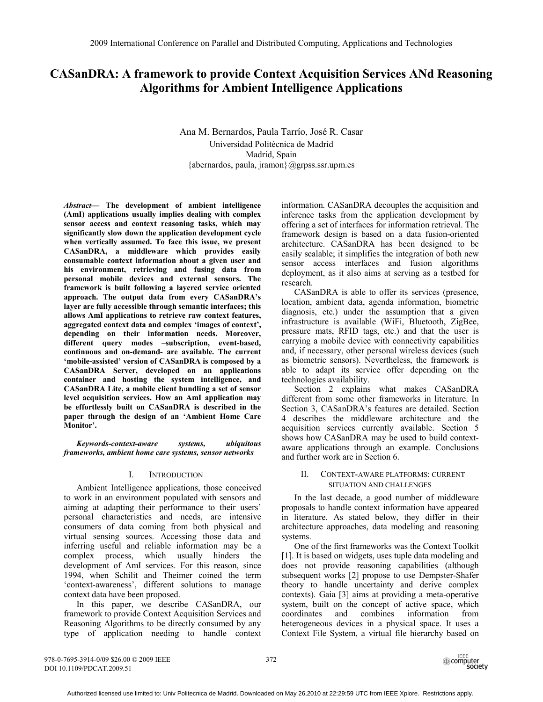# **CASanDRA: A framework to provide Context Acquisition Services ANd Reasoning Algorithms for Ambient Intelligence Applications**

Ana M. Bernardos, Paula Tarrío, José R. Casar Universidad Politécnica de Madrid Madrid, Spain  ${abernardos, paula, iramon}$  @grpss.ssr.upm.es

*Abstract***— The development of ambient intelligence (AmI) applications usually implies dealing with complex sensor access and context reasoning tasks, which may significantly slow down the application development cycle when vertically assumed. To face this issue, we present CASanDRA, a middleware which provides easily consumable context information about a given user and his environment, retrieving and fusing data from personal mobile devices and external sensors. The framework is built following a layered service oriented approach. The output data from every CASanDRA's layer are fully accessible through semantic interfaces; this allows AmI applications to retrieve raw context features, aggregated context data and complex 'images of context', depending on their information needs. Moreover, different query modes –subscription, event-based, continuous and on-demand- are available. The current 'mobile-assisted' version of CASanDRA is composed by a CASanDRA Server, developed on an applications container and hosting the system intelligence, and CASanDRA Lite, a mobile client bundling a set of sensor level acquisition services. How an AmI application may be effortlessly built on CASanDRA is described in the paper through the design of an 'Ambient Home Care Monitor'.** 

*Keywords-context-aware systems, ubiquitous frameworks, ambient home care systems, sensor networks* 

## I. INTRODUCTION

Ambient Intelligence applications, those conceived to work in an environment populated with sensors and aiming at adapting their performance to their users' personal characteristics and needs, are intensive consumers of data coming from both physical and virtual sensing sources. Accessing those data and inferring useful and reliable information may be a complex process, which usually hinders the development of AmI services. For this reason, since 1994, when Schilit and Theimer coined the term 'context-awareness', different solutions to manage context data have been proposed.

In this paper, we describe CASanDRA, our framework to provide Context Acquisition Services and Reasoning Algorithms to be directly consumed by any type of application needing to handle context information. CASanDRA decouples the acquisition and inference tasks from the application development by offering a set of interfaces for information retrieval. The framework design is based on a data fusion-oriented architecture. CASanDRA has been designed to be easily scalable; it simplifies the integration of both new sensor access interfaces and fusion algorithms deployment, as it also aims at serving as a testbed for research.

CASanDRA is able to offer its services (presence, location, ambient data, agenda information, biometric diagnosis, etc.) under the assumption that a given infrastructure is available (WiFi, Bluetooth, ZigBee, pressure mats, RFID tags, etc.) and that the user is carrying a mobile device with connectivity capabilities and, if necessary, other personal wireless devices (such as biometric sensors). Nevertheless, the framework is able to adapt its service offer depending on the technologies availability.

Section 2 explains what makes CASanDRA different from some other frameworks in literature. In Section 3, CASanDRA's features are detailed. Section 4 describes the middleware architecture and the acquisition services currently available. Section 5 shows how CASanDRA may be used to build contextaware applications through an example. Conclusions and further work are in Section 6.

## II. CONTEXT-AWARE PLATFORMS: CURRENT SITUATION AND CHALLENGES

In the last decade, a good number of middleware proposals to handle context information have appeared in literature. As stated below, they differ in their architecture approaches, data modeling and reasoning systems.

One of the first frameworks was the Context Toolkit [1]. It is based on widgets, uses tuple data modeling and does not provide reasoning capabilities (although subsequent works [2] propose to use Dempster-Shafer theory to handle uncertainty and derive complex contexts). Gaia [3] aims at providing a meta-operative system, built on the concept of active space, which coordinates and combines information from heterogeneous devices in a physical space. It uses a Context File System, a virtual file hierarchy based on

978-0-7695-3914-0/09 \$26.00 © 2009 IEEE DOI 10.1109/PDCAT.2009.51

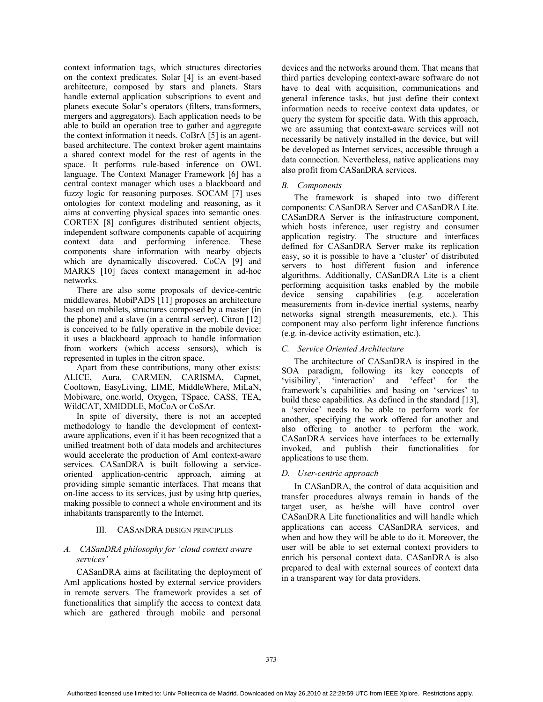context information tags, which structures directories on the context predicates. Solar [4] is an event-based architecture, composed by stars and planets. Stars handle external application subscriptions to event and planets execute Solar's operators (filters, transformers, mergers and aggregators). Each application needs to be able to build an operation tree to gather and aggregate the context information it needs. CoBrA [5] is an agentbased architecture. The context broker agent maintains a shared context model for the rest of agents in the space. It performs rule-based inference on OWL language. The Context Manager Framework [6] has a central context manager which uses a blackboard and fuzzy logic for reasoning purposes. SOCAM [7] uses ontologies for context modeling and reasoning, as it aims at converting physical spaces into semantic ones. CORTEX [8] configures distributed sentient objects, independent software components capable of acquiring context data and performing inference. These components share information with nearby objects which are dynamically discovered. CoCA [9] and MARKS [10] faces context management in ad-hoc networks.

There are also some proposals of device-centric middlewares. MobiPADS [11] proposes an architecture based on mobilets, structures composed by a master (in the phone) and a slave (in a central server). Citron [12] is conceived to be fully operative in the mobile device: it uses a blackboard approach to handle information from workers (which access sensors), which is represented in tuples in the citron space.

Apart from these contributions, many other exists: ALICE, Aura, CARMEN, CARISMA, Capnet, Cooltown, EasyLiving, LIME, MiddleWhere, MiLaN, Mobiware, one.world, Oxygen, TSpace, CASS, TEA, WildCAT, XMIDDLE, MoCoA or CoSAr.

In spite of diversity, there is not an accepted methodology to handle the development of contextaware applications, even if it has been recognized that a unified treatment both of data models and architectures would accelerate the production of AmI context-aware services. CASanDRA is built following a serviceoriented application-centric approach, aiming at providing simple semantic interfaces. That means that on-line access to its services, just by using http queries, making possible to connect a whole environment and its inhabitants transparently to the Internet.

## III. CASANDRA DESIGN PRINCIPLES

# *A. CASanDRA philosophy for 'cloud context aware services'*

CASanDRA aims at facilitating the deployment of AmI applications hosted by external service providers in remote servers. The framework provides a set of functionalities that simplify the access to context data which are gathered through mobile and personal

devices and the networks around them. That means that third parties developing context-aware software do not have to deal with acquisition, communications and general inference tasks, but just define their context information needs to receive context data updates, or query the system for specific data. With this approach, we are assuming that context-aware services will not necessarily be natively installed in the device, but will be developed as Internet services, accessible through a data connection. Nevertheless, native applications may also profit from CASanDRA services.

## *B. Components*

The framework is shaped into two different components: CASanDRA Server and CASanDRA Lite. CASanDRA Server is the infrastructure component, which hosts inference, user registry and consumer application registry. The structure and interfaces defined for CASanDRA Server make its replication easy, so it is possible to have a 'cluster' of distributed servers to host different fusion and inference algorithms. Additionally, CASanDRA Lite is a client performing acquisition tasks enabled by the mobile device sensing capabilities (e.g. acceleration measurements from in-device inertial systems, nearby networks signal strength measurements, etc.). This component may also perform light inference functions (e.g. in-device activity estimation, etc.).

## *C. Service Oriented Architecture*

The architecture of CASanDRA is inspired in the SOA paradigm, following its key concepts of 'visibility', 'interaction' and 'effect' for the framework's capabilities and basing on 'services' to build these capabilities. As defined in the standard [13], a 'service' needs to be able to perform work for another, specifying the work offered for another and also offering to another to perform the work. CASanDRA services have interfaces to be externally invoked, and publish their functionalities for applications to use them.

## *D. User-centric approach*

In CASanDRA, the control of data acquisition and transfer procedures always remain in hands of the target user, as he/she will have control over CASanDRA Lite functionalities and will handle which applications can access CASanDRA services, and when and how they will be able to do it. Moreover, the user will be able to set external context providers to enrich his personal context data. CASanDRA is also prepared to deal with external sources of context data in a transparent way for data providers.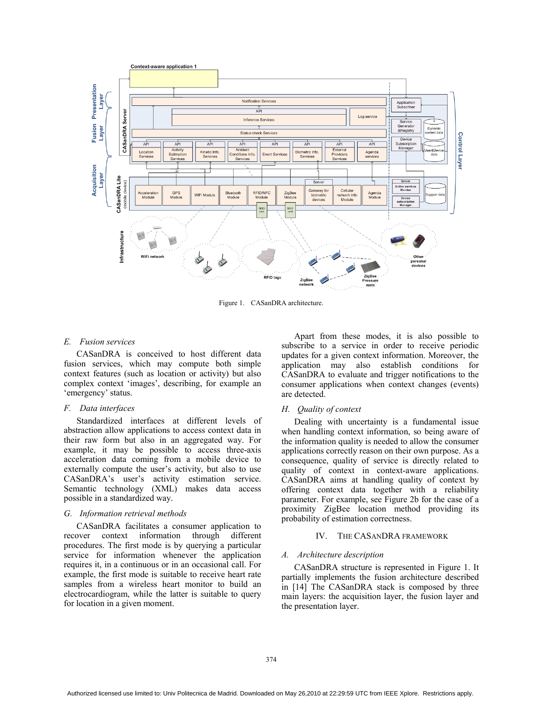

Figure 1. CASanDRA architecture.

## *E. Fusion services*

CASanDRA is conceived to host different data fusion services, which may compute both simple context features (such as location or activity) but also complex context 'images', describing, for example an 'emergency' status.

## *F. Data interfaces*

Standardized interfaces at different levels of abstraction allow applications to access context data in their raw form but also in an aggregated way. For example, it may be possible to access three-axis acceleration data coming from a mobile device to externally compute the user's activity, but also to use CASanDRA's user's activity estimation service. Semantic technology (XML) makes data access possible in a standardized way.

#### *G. Information retrieval methods*

CASanDRA facilitates a consumer application to recover context information through different procedures. The first mode is by querying a particular service for information whenever the application requires it, in a continuous or in an occasional call. For example, the first mode is suitable to receive heart rate samples from a wireless heart monitor to build an electrocardiogram, while the latter is suitable to query for location in a given moment.

Apart from these modes, it is also possible to subscribe to a service in order to receive periodic updates for a given context information. Moreover, the application may also establish conditions for CASanDRA to evaluate and trigger notifications to the consumer applications when context changes (events) are detected.

## *H. Quality of context*

Dealing with uncertainty is a fundamental issue when handling context information, so being aware of the information quality is needed to allow the consumer applications correctly reason on their own purpose. As a consequence, quality of service is directly related to quality of context in context-aware applications. CASanDRA aims at handling quality of context by offering context data together with a reliability parameter. For example, see Figure 2b for the case of a proximity ZigBee location method providing its probability of estimation correctness.

## IV. THE CASANDRA FRAMEWORK

## *A. Architecture description*

CASanDRA structure is represented in Figure 1. It partially implements the fusion architecture described in [14] The CASanDRA stack is composed by three main layers: the acquisition layer, the fusion layer and the presentation layer.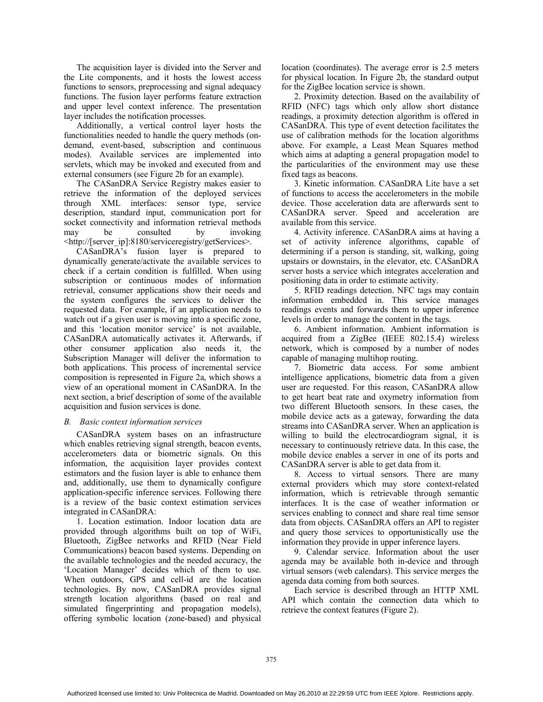The acquisition layer is divided into the Server and the Lite components, and it hosts the lowest access functions to sensors, preprocessing and signal adequacy functions. The fusion layer performs feature extraction and upper level context inference. The presentation layer includes the notification processes.

Additionally, a vertical control layer hosts the functionalities needed to handle the query methods (ondemand, event-based, subscription and continuous modes). Available services are implemented into servlets, which may be invoked and executed from and external consumers (see Figure 2b for an example).

The CASanDRA Service Registry makes easier to retrieve the information of the deployed services through XML interfaces: sensor type, service description, standard input, communication port for socket connectivity and information retrieval methods may be consulted by invoking <http://[server\_ip]:8180/serviceregistry/getServices>.

CASanDRA's fusion layer is prepared to dynamically generate/activate the available services to check if a certain condition is fulfilled. When using subscription or continuous modes of information retrieval, consumer applications show their needs and the system configures the services to deliver the requested data. For example, if an application needs to watch out if a given user is moving into a specific zone, and this 'location monitor service' is not available, CASanDRA automatically activates it. Afterwards, if other consumer application also needs it, the Subscription Manager will deliver the information to both applications. This process of incremental service composition is represented in Figure 2a, which shows a view of an operational moment in CASanDRA. In the next section, a brief description of some of the available acquisition and fusion services is done.

# *B. Basic context information services*

CASanDRA system bases on an infrastructure which enables retrieving signal strength, beacon events, accelerometers data or biometric signals. On this information, the acquisition layer provides context estimators and the fusion layer is able to enhance them and, additionally, use them to dynamically configure application-specific inference services. Following there is a review of the basic context estimation services integrated in CASanDRA:

1. Location estimation. Indoor location data are provided through algorithms built on top of WiFi, Bluetooth, ZigBee networks and RFID (Near Field Communications) beacon based systems. Depending on the available technologies and the needed accuracy, the 'Location Manager' decides which of them to use. When outdoors, GPS and cell-id are the location technologies. By now, CASanDRA provides signal strength location algorithms (based on real and simulated fingerprinting and propagation models), offering symbolic location (zone-based) and physical location (coordinates). The average error is 2.5 meters for physical location. In Figure 2b, the standard output for the ZigBee location service is shown.

2. Proximity detection. Based on the availability of RFID (NFC) tags which only allow short distance readings, a proximity detection algorithm is offered in CASanDRA. This type of event detection facilitates the use of calibration methods for the location algorithms above. For example, a Least Mean Squares method which aims at adapting a general propagation model to the particularities of the environment may use these fixed tags as beacons.

3. Kinetic information. CASanDRA Lite have a set of functions to access the accelerometers in the mobile device. Those acceleration data are afterwards sent to CASanDRA server. Speed and acceleration are available from this service.

4. Activity inference. CASanDRA aims at having a set of activity inference algorithms, capable of determining if a person is standing, sit, walking, going upstairs or downstairs, in the elevator, etc. CASanDRA server hosts a service which integrates acceleration and positioning data in order to estimate activity.

5. RFID readings detection. NFC tags may contain information embedded in. This service manages readings events and forwards them to upper inference levels in order to manage the content in the tags.

6. Ambient information. Ambient information is acquired from a ZigBee (IEEE 802.15.4) wireless network, which is composed by a number of nodes capable of managing multihop routing.

7. Biometric data access. For some ambient intelligence applications, biometric data from a given user are requested. For this reason, CASanDRA allow to get heart beat rate and oxymetry information from two different Bluetooth sensors. In these cases, the mobile device acts as a gateway, forwarding the data streams into CASanDRA server. When an application is willing to build the electrocardiogram signal, it is necessary to continuously retrieve data. In this case, the mobile device enables a server in one of its ports and CASanDRA server is able to get data from it.

8. Access to virtual sensors. There are many external providers which may store context-related information, which is retrievable through semantic interfaces. It is the case of weather information or services enabling to connect and share real time sensor data from objects. CASanDRA offers an API to register and query those services to opportunistically use the information they provide in upper inference layers.

9. Calendar service. Information about the user agenda may be available both in-device and through virtual sensors (web calendars). This service merges the agenda data coming from both sources.

Each service is described through an HTTP XML API which contain the connection data which to retrieve the context features (Figure 2).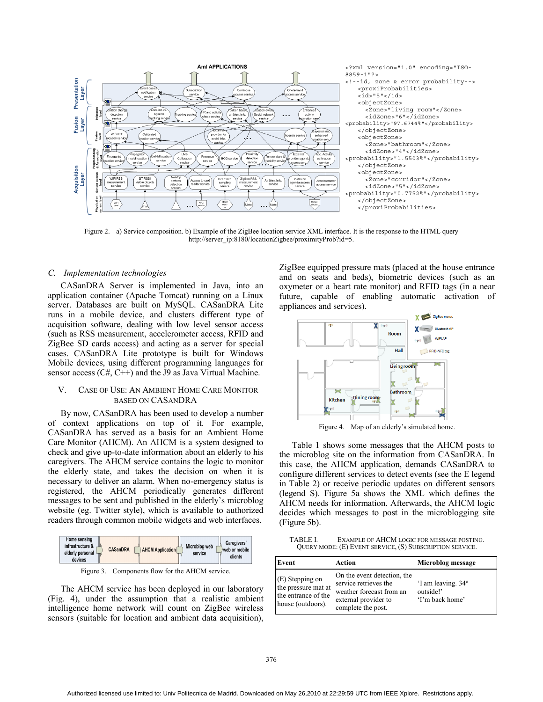

Figure 2. a) Service composition. b) Example of the ZigBee location service XML interface. It is the response to the HTML query http://server\_ip:8180/locationZigbee/proximityProb?id=5.

## *C. Implementation technologies*

CASanDRA Server is implemented in Java, into an application container (Apache Tomcat) running on a Linux server. Databases are built on MySQL. CASanDRA Lite runs in a mobile device, and clusters different type of acquisition software, dealing with low level sensor access (such as RSS measurement, accelerometer access, RFID and ZigBee SD cards access) and acting as a server for special cases. CASanDRA Lite prototype is built for Windows Mobile devices, using different programming languages for sensor access (C#, C++) and the J9 as Java Virtual Machine.

# V. CASE OF USE: AN AMBIENT HOME CARE MONITOR BASED ON CASANDRA

By now, CASanDRA has been used to develop a number of context applications on top of it. For example, CASanDRA has served as a basis for an Ambient Home Care Monitor (AHCM). An AHCM is a system designed to check and give up-to-date information about an elderly to his caregivers. The AHCM service contains the logic to monitor the elderly state, and takes the decision on when it is necessary to deliver an alarm. When no-emergency status is registered, the AHCM periodically generates different messages to be sent and published in the elderly's microblog website (eg. Twitter style), which is available to authorized readers through common mobile widgets and web interfaces.



Figure 3. Components flow for the AHCM service.

The AHCM service has been deployed in our laboratory (Fig. 4), under the assumption that a realistic ambient intelligence home network will count on ZigBee wireless sensors (suitable for location and ambient data acquisition), ZigBee equipped pressure mats (placed at the house entrance and on seats and beds), biometric devices (such as an oxymeter or a heart rate monitor) and RFID tags (in a near future, capable of enabling automatic activation of appliances and services).



Figure 4. Map of an elderly's simulated home.

Table 1 shows some messages that the AHCM posts to the microblog site on the information from CASanDRA. In this case, the AHCM application, demands CASanDRA to configure different services to detect events (see the E legend in Table 2) or receive periodic updates on different sensors (legend S). Figure 5a shows the XML which defines the AHCM needs for information. Afterwards, the AHCM logic decides which messages to post in the microblogging site (Figure 5b).

TABLE I. EXAMPLE OF AHCM LOGIC FOR MESSAGE POSTING. QUERY MODE: (E) EVENT SERVICE, (S) SUBSCRIPTION SERVICE.

| Event                                                                                | Action                                                                                                                         | Microblog message                                  |
|--------------------------------------------------------------------------------------|--------------------------------------------------------------------------------------------------------------------------------|----------------------------------------------------|
| $(E)$ Stepping on<br>the pressure mat at<br>the entrance of the<br>house (outdoors). | On the event detection, the<br>service retrieves the<br>weather forecast from an<br>external provider to<br>complete the post. | 'I am leaving. 34°<br>outside!'<br>'I'm back home' |